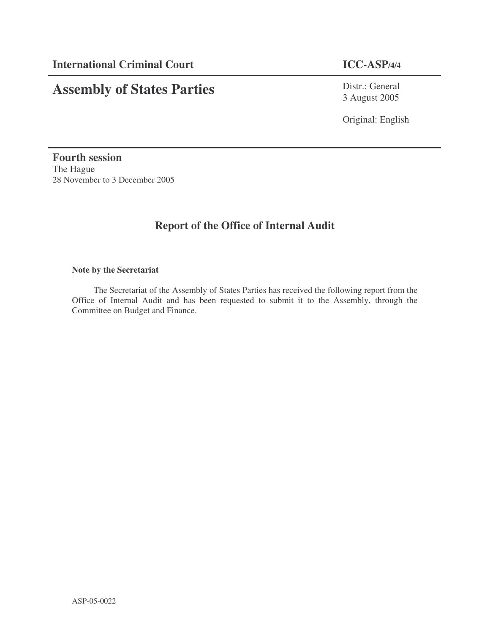# **Assembly of States Parties**

Distr.: General 3 August 2005

Original: English

**Fourth session** The Hague 28 November to 3 December 2005

# **Report of the Office of Internal Audit**

## **Note by the Secretariat**

The Secretariat of the Assembly of States Parties has received the following report from the Office of Internal Audit and has been requested to submit it to the Assembly, through the Committee on Budget and Finance.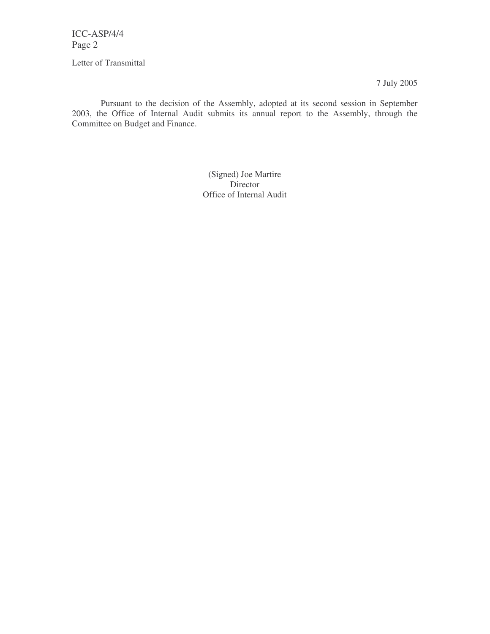Letter of Transmittal

7 July 2005

Pursuant to the decision of the Assembly, adopted at its second session in September 2003, the Office of Internal Audit submits its annual report to the Assembly, through the Committee on Budget and Finance.

> (Signed) Joe Martire Director Office of Internal Audit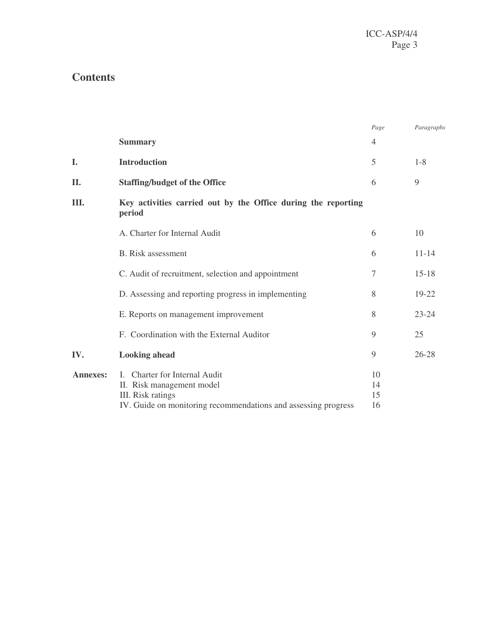# **Contents**

|                 |                                                                                                                                                            | Page                 | Paragraphs |
|-----------------|------------------------------------------------------------------------------------------------------------------------------------------------------------|----------------------|------------|
|                 | <b>Summary</b>                                                                                                                                             | $\overline{4}$       |            |
| I.              | <b>Introduction</b>                                                                                                                                        | 5                    | $1 - 8$    |
| II.             | <b>Staffing/budget of the Office</b>                                                                                                                       | 6                    | 9          |
| Ш.              | Key activities carried out by the Office during the reporting<br>period                                                                                    |                      |            |
|                 | A. Charter for Internal Audit                                                                                                                              | 6                    | 10         |
|                 | <b>B.</b> Risk assessment                                                                                                                                  | 6                    | $11 - 14$  |
|                 | C. Audit of recruitment, selection and appointment                                                                                                         | 7                    | $15 - 18$  |
|                 | D. Assessing and reporting progress in implementing                                                                                                        | 8                    | 19-22      |
|                 | E. Reports on management improvement                                                                                                                       | 8                    | $23 - 24$  |
|                 | F. Coordination with the External Auditor                                                                                                                  | 9                    | 25         |
| IV.             | <b>Looking ahead</b>                                                                                                                                       | 9                    | $26 - 28$  |
| <b>Annexes:</b> | <b>Charter for Internal Audit</b><br>L<br>II. Risk management model<br>III. Risk ratings<br>IV. Guide on monitoring recommendations and assessing progress | 10<br>14<br>15<br>16 |            |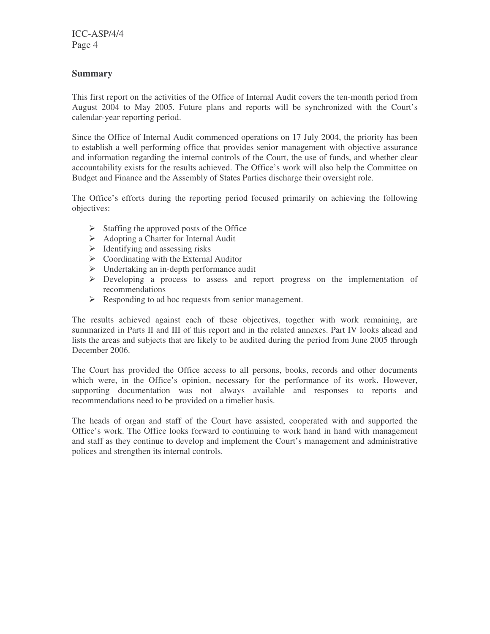## **Summary**

This first report on the activities of the Office of Internal Audit covers the ten-month period from August 2004 to May 2005. Future plans and reports will be synchronized with the Court's calendar-year reporting period.

Since the Office of Internal Audit commenced operations on 17 July 2004, the priority has been to establish a well performing office that provides senior management with objective assurance and information regarding the internal controls of the Court, the use of funds, and whether clear accountability exists for the results achieved. The Office's work will also help the Committee on Budget and Finance and the Assembly of States Parties discharge their oversight role.

The Office's efforts during the reporting period focused primarily on achieving the following objectives:

- $\triangleright$  Staffing the approved posts of the Office
- $\triangleright$  Adopting a Charter for Internal Audit
- $\triangleright$  Identifying and assessing risks
- $\triangleright$  Coordinating with the External Auditor
- $\triangleright$  Undertaking an in-depth performance audit
- $\triangleright$  Developing a process to assess and report progress on the implementation of recommendations
- $\triangleright$  Responding to ad hoc requests from senior management.

The results achieved against each of these objectives, together with work remaining, are summarized in Parts II and III of this report and in the related annexes. Part IV looks ahead and lists the areas and subjects that are likely to be audited during the period from June 2005 through December 2006.

The Court has provided the Office access to all persons, books, records and other documents which were, in the Office's opinion, necessary for the performance of its work. However, supporting documentation was not always available and responses to reports and recommendations need to be provided on a timelier basis.

The heads of organ and staff of the Court have assisted, cooperated with and supported the Office's work. The Office looks forward to continuing to work hand in hand with management and staff as they continue to develop and implement the Court's management and administrative polices and strengthen its internal controls.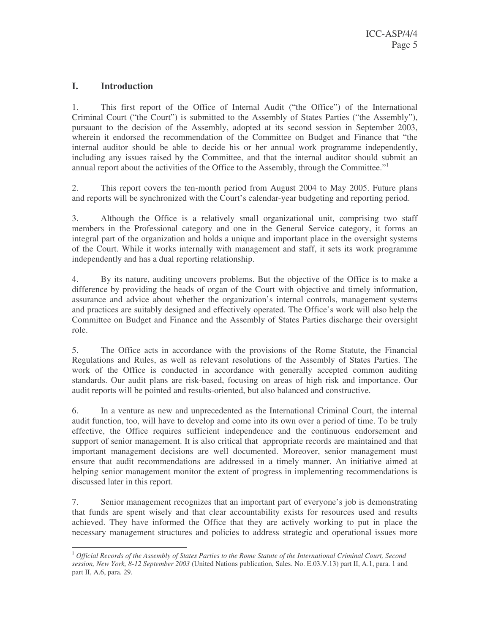## **I. Introduction**

1. This first report of the Office of Internal Audit ("the Office") of the International Criminal Court ("the Court") is submitted to the Assembly of States Parties ("the Assembly"), pursuant to the decision of the Assembly, adopted at its second session in September 2003, wherein it endorsed the recommendation of the Committee on Budget and Finance that "the internal auditor should be able to decide his or her annual work programme independently, including any issues raised by the Committee, and that the internal auditor should submit an annual report about the activities of the Office to the Assembly, through the Committee."<sup>1</sup>

2. This report covers the ten-month period from August 2004 to May 2005. Future plans and reports will be synchronized with the Court's calendar-year budgeting and reporting period.

3. Although the Office is a relatively small organizational unit, comprising two staff members in the Professional category and one in the General Service category, it forms an integral part of the organization and holds a unique and important place in the oversight systems of the Court. While it works internally with management and staff, it sets its work programme independently and has a dual reporting relationship.

4. By its nature, auditing uncovers problems. But the objective of the Office is to make a difference by providing the heads of organ of the Court with objective and timely information, assurance and advice about whether the organization's internal controls, management systems and practices are suitably designed and effectively operated. The Office's work will also help the Committee on Budget and Finance and the Assembly of States Parties discharge their oversight role.

5. The Office acts in accordance with the provisions of the Rome Statute, the Financial Regulations and Rules, as well as relevant resolutions of the Assembly of States Parties. The work of the Office is conducted in accordance with generally accepted common auditing standards. Our audit plans are risk-based, focusing on areas of high risk and importance. Our audit reports will be pointed and results-oriented, but also balanced and constructive.

6. In a venture as new and unprecedented as the International Criminal Court, the internal audit function, too, will have to develop and come into its own over a period of time. To be truly effective, the Office requires sufficient independence and the continuous endorsement and support of senior management. It is also critical that appropriate records are maintained and that important management decisions are well documented. Moreover, senior management must ensure that audit recommendations are addressed in a timely manner. An initiative aimed at helping senior management monitor the extent of progress in implementing recommendations is discussed later in this report.

7. Senior management recognizes that an important part of everyone's job is demonstrating that funds are spent wisely and that clear accountability exists for resources used and results achieved. They have informed the Office that they are actively working to put in place the necessary management structures and policies to address strategic and operational issues more

 $^{-1}$  Official Records of the Assembly of States Parties to the Rome Statute of the International Criminal Court, Second *session, New York, 8-12 September 2003* (United Nations publication, Sales. No. E.03.V.13) part II, A.1, para. 1 and part II, A.6, para. 29.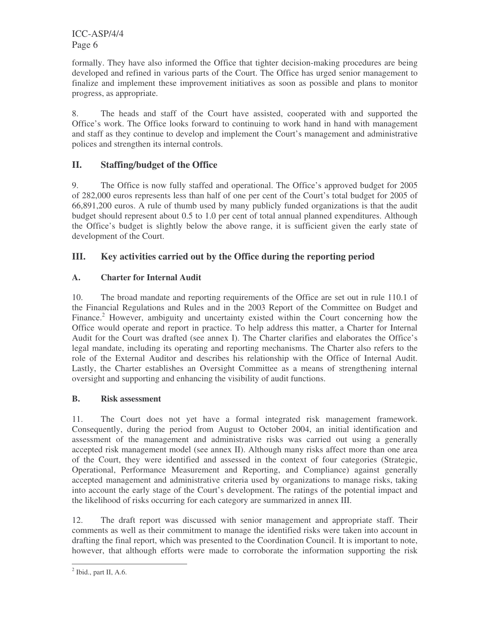formally. They have also informed the Office that tighter decision-making procedures are being developed and refined in various parts of the Court. The Office has urged senior management to finalize and implement these improvement initiatives as soon as possible and plans to monitor progress, as appropriate.

8. The heads and staff of the Court have assisted, cooperated with and supported the Office's work. The Office looks forward to continuing to work hand in hand with management and staff as they continue to develop and implement the Court's management and administrative polices and strengthen its internal controls.

## **II. Staffing/budget of the Office**

9. The Office is now fully staffed and operational. The Office's approved budget for 2005 of 282,000 euros represents less than half of one per cent of the Court's total budget for 2005 of 66,891,200 euros. A rule of thumb used by many publicly funded organizations is that the audit budget should represent about 0.5 to 1.0 per cent of total annual planned expenditures. Although the Office's budget is slightly below the above range, it is sufficient given the early state of development of the Court.

## **III. Key activities carried out by the Office during the reporting period**

## **A. Charter for Internal Audit**

10. The broad mandate and reporting requirements of the Office are set out in rule 110.1 of the Financial Regulations and Rules and in the 2003 Report of the Committee on Budget and Finance.<sup>2</sup> However, ambiguity and uncertainty existed within the Court concerning how the Office would operate and report in practice. To help address this matter, a Charter for Internal Audit for the Court was drafted (see annex I). The Charter clarifies and elaborates the Office's legal mandate, including its operating and reporting mechanisms. The Charter also refers to the role of the External Auditor and describes his relationship with the Office of Internal Audit. Lastly, the Charter establishes an Oversight Committee as a means of strengthening internal oversight and supporting and enhancing the visibility of audit functions.

## **B. Risk assessment**

11. The Court does not yet have a formal integrated risk management framework. Consequently, during the period from August to October 2004, an initial identification and assessment of the management and administrative risks was carried out using a generally accepted risk management model (see annex II). Although many risks affect more than one area of the Court, they were identified and assessed in the context of four categories (Strategic, Operational, Performance Measurement and Reporting, and Compliance) against generally accepted management and administrative criteria used by organizations to manage risks, taking into account the early stage of the Court's development. The ratings of the potential impact and the likelihood of risks occurring for each category are summarized in annex III.

12. The draft report was discussed with senior management and appropriate staff. Their comments as well as their commitment to manage the identified risks were taken into account in drafting the final report, which was presented to the Coordination Council. It is important to note, however, that although efforts were made to corroborate the information supporting the risk

 $<sup>2</sup>$  Ibid., part II, A.6.</sup>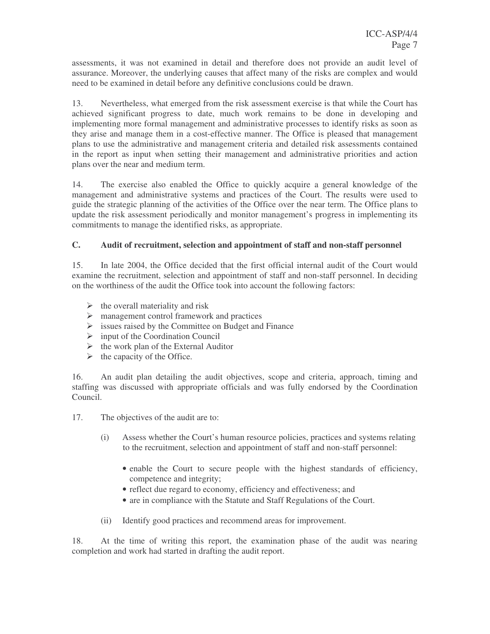assessments, it was not examined in detail and therefore does not provide an audit level of assurance. Moreover, the underlying causes that affect many of the risks are complex and would need to be examined in detail before any definitive conclusions could be drawn.

13. Nevertheless, what emerged from the risk assessment exercise is that while the Court has achieved significant progress to date, much work remains to be done in developing and implementing more formal management and administrative processes to identify risks as soon as they arise and manage them in a cost-effective manner. The Office is pleased that management plans to use the administrative and management criteria and detailed risk assessments contained in the report as input when setting their management and administrative priorities and action plans over the near and medium term.

14. The exercise also enabled the Office to quickly acquire a general knowledge of the management and administrative systems and practices of the Court. The results were used to guide the strategic planning of the activities of the Office over the near term. The Office plans to update the risk assessment periodically and monitor management's progress in implementing its commitments to manage the identified risks, as appropriate.

## **C. Audit of recruitment, selection and appointment of staff and non-staff personnel**

15. In late 2004, the Office decided that the first official internal audit of the Court would examine the recruitment, selection and appointment of staff and non-staff personnel. In deciding on the worthiness of the audit the Office took into account the following factors:

- $\triangleright$  the overall materiality and risk
- $\triangleright$  management control framework and practices
- $\triangleright$  issues raised by the Committee on Budget and Finance
- $\triangleright$  input of the Coordination Council
- $\triangleright$  the work plan of the External Auditor
- $\triangleright$  the capacity of the Office.

16. An audit plan detailing the audit objectives, scope and criteria, approach, timing and staffing was discussed with appropriate officials and was fully endorsed by the Coordination Council.

- 17. The objectives of the audit are to:
	- (i) Assess whether the Court's human resource policies, practices and systems relating to the recruitment, selection and appointment of staff and non-staff personnel:
		- enable the Court to secure people with the highest standards of efficiency, competence and integrity;
		- reflect due regard to economy, efficiency and effectiveness; and
		- are in compliance with the Statute and Staff Regulations of the Court.
	- (ii) Identify good practices and recommend areas for improvement.

18. At the time of writing this report, the examination phase of the audit was nearing completion and work had started in drafting the audit report.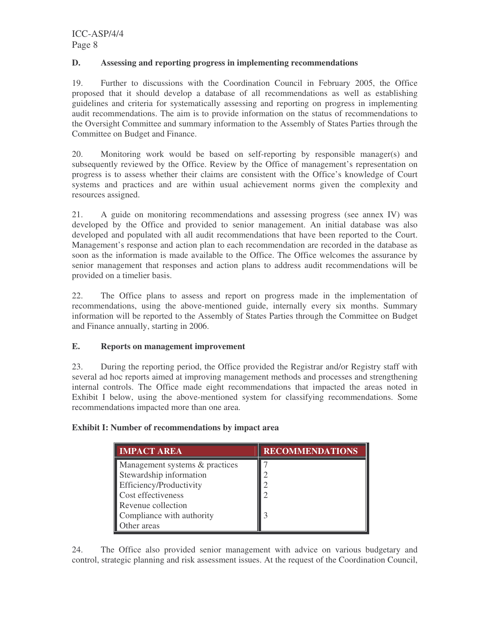## **D. Assessing and reporting progress in implementing recommendations**

19. Further to discussions with the Coordination Council in February 2005, the Office proposed that it should develop a database of all recommendations as well as establishing guidelines and criteria for systematically assessing and reporting on progress in implementing audit recommendations. The aim is to provide information on the status of recommendations to the Oversight Committee and summary information to the Assembly of States Parties through the Committee on Budget and Finance.

20. Monitoring work would be based on self-reporting by responsible manager(s) and subsequently reviewed by the Office. Review by the Office of management's representation on progress is to assess whether their claims are consistent with the Office's knowledge of Court systems and practices and are within usual achievement norms given the complexity and resources assigned.

21. A guide on monitoring recommendations and assessing progress (see annex IV) was developed by the Office and provided to senior management. An initial database was also developed and populated with all audit recommendations that have been reported to the Court. Management's response and action plan to each recommendation are recorded in the database as soon as the information is made available to the Office. The Office welcomes the assurance by senior management that responses and action plans to address audit recommendations will be provided on a timelier basis.

22. The Office plans to assess and report on progress made in the implementation of recommendations, using the above-mentioned guide, internally every six months. Summary information will be reported to the Assembly of States Parties through the Committee on Budget and Finance annually, starting in 2006.

## **E. Reports on management improvement**

23. During the reporting period, the Office provided the Registrar and/or Registry staff with several ad hoc reports aimed at improving management methods and processes and strengthening internal controls. The Office made eight recommendations that impacted the areas noted in Exhibit I below, using the above-mentioned system for classifying recommendations. Some recommendations impacted more than one area.

## **Exhibit I: Number of recommendations by impact area**

| <b>IMPACT AREA</b>             | <b>RECOMMENDATIONS</b> |
|--------------------------------|------------------------|
| Management systems & practices |                        |
| Stewardship information        | ∍                      |
| Efficiency/Productivity        |                        |
| Cost effectiveness             |                        |
| Revenue collection             |                        |
| Compliance with authority      | 3                      |
| ther areas                     |                        |

24. The Office also provided senior management with advice on various budgetary and control, strategic planning and risk assessment issues. At the request of the Coordination Council,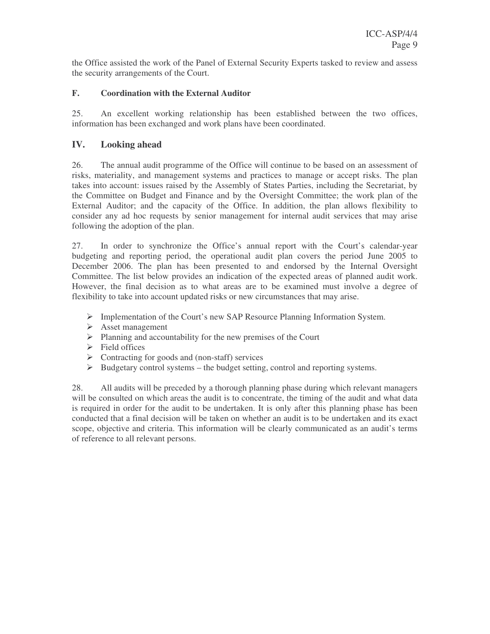the Office assisted the work of the Panel of External Security Experts tasked to review and assess the security arrangements of the Court.

## **F. Coordination with the External Auditor**

25. An excellent working relationship has been established between the two offices, information has been exchanged and work plans have been coordinated.

## **IV. Looking ahead**

26. The annual audit programme of the Office will continue to be based on an assessment of risks, materiality, and management systems and practices to manage or accept risks. The plan takes into account: issues raised by the Assembly of States Parties, including the Secretariat, by the Committee on Budget and Finance and by the Oversight Committee; the work plan of the External Auditor; and the capacity of the Office. In addition, the plan allows flexibility to consider any ad hoc requests by senior management for internal audit services that may arise following the adoption of the plan.

27. In order to synchronize the Office's annual report with the Court's calendar-year budgeting and reporting period, the operational audit plan covers the period June 2005 to December 2006. The plan has been presented to and endorsed by the Internal Oversight Committee. The list below provides an indication of the expected areas of planned audit work. However, the final decision as to what areas are to be examined must involve a degree of flexibility to take into account updated risks or new circumstances that may arise.

- Implementation of the Court's new SAP Resource Planning Information System.
- $\triangleright$  Asset management
- $\triangleright$  Planning and accountability for the new premises of the Court
- $\triangleright$  Field offices
- $\triangleright$  Contracting for goods and (non-staff) services
- $\triangleright$  Budgetary control systems the budget setting, control and reporting systems.

28. All audits will be preceded by a thorough planning phase during which relevant managers will be consulted on which areas the audit is to concentrate, the timing of the audit and what data is required in order for the audit to be undertaken. It is only after this planning phase has been conducted that a final decision will be taken on whether an audit is to be undertaken and its exact scope, objective and criteria. This information will be clearly communicated as an audit's terms of reference to all relevant persons.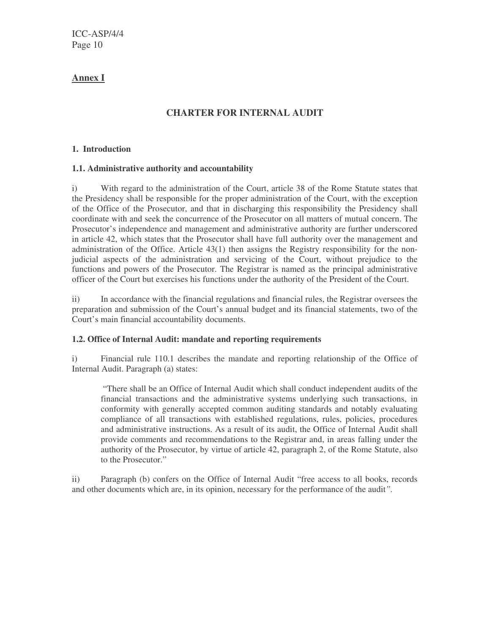## **Annex I**

## **CHARTER FOR INTERNAL AUDIT**

## **1. Introduction**

## **1.1. Administrative authority and accountability**

i) With regard to the administration of the Court, article 38 of the Rome Statute states that the Presidency shall be responsible for the proper administration of the Court, with the exception of the Office of the Prosecutor, and that in discharging this responsibility the Presidency shall coordinate with and seek the concurrence of the Prosecutor on all matters of mutual concern. The Prosecutor's independence and management and administrative authority are further underscored in article 42, which states that the Prosecutor shall have full authority over the management and administration of the Office. Article 43(1) then assigns the Registry responsibility for the nonjudicial aspects of the administration and servicing of the Court, without prejudice to the functions and powers of the Prosecutor. The Registrar is named as the principal administrative officer of the Court but exercises his functions under the authority of the President of the Court.

ii) In accordance with the financial regulations and financial rules, the Registrar oversees the preparation and submission of the Court's annual budget and its financial statements, two of the Court's main financial accountability documents.

## **1.2. Office of Internal Audit: mandate and reporting requirements**

i) Financial rule 110.1 describes the mandate and reporting relationship of the Office of Internal Audit. Paragraph (a) states:

"There shall be an Office of Internal Audit which shall conduct independent audits of the financial transactions and the administrative systems underlying such transactions, in conformity with generally accepted common auditing standards and notably evaluating compliance of all transactions with established regulations, rules, policies, procedures and administrative instructions. As a result of its audit, the Office of Internal Audit shall provide comments and recommendations to the Registrar and, in areas falling under the authority of the Prosecutor, by virtue of article 42, paragraph 2, of the Rome Statute, also to the Prosecutor."

ii) Paragraph (b) confers on the Office of Internal Audit "free access to all books, records and other documents which are, in its opinion, necessary for the performance of the audit*".*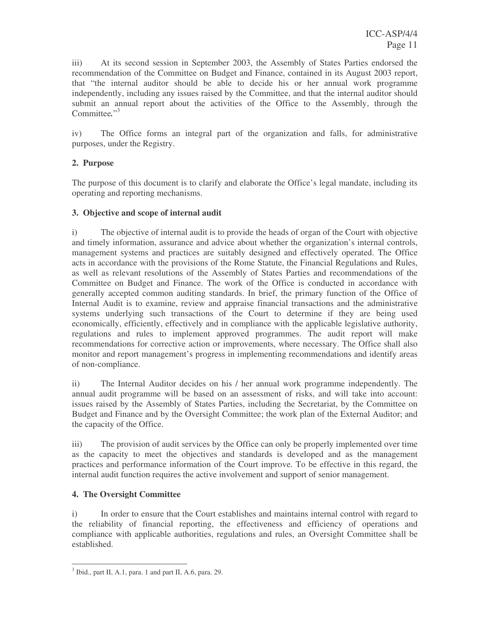iii) At its second session in September 2003, the Assembly of States Parties endorsed the recommendation of the Committee on Budget and Finance, contained in its August 2003 report, that "the internal auditor should be able to decide his or her annual work programme independently, including any issues raised by the Committee, and that the internal auditor should submit an annual report about the activities of the Office to the Assembly, through the Committee."<sup>3</sup>

iv) The Office forms an integral part of the organization and falls, for administrative purposes, under the Registry.

## **2. Purpose**

The purpose of this document is to clarify and elaborate the Office's legal mandate, including its operating and reporting mechanisms.

## **3. Objective and scope of internal audit**

i) The objective of internal audit is to provide the heads of organ of the Court with objective and timely information, assurance and advice about whether the organization's internal controls, management systems and practices are suitably designed and effectively operated. The Office acts in accordance with the provisions of the Rome Statute, the Financial Regulations and Rules, as well as relevant resolutions of the Assembly of States Parties and recommendations of the Committee on Budget and Finance. The work of the Office is conducted in accordance with generally accepted common auditing standards. In brief, the primary function of the Office of Internal Audit is to examine, review and appraise financial transactions and the administrative systems underlying such transactions of the Court to determine if they are being used economically, efficiently, effectively and in compliance with the applicable legislative authority, regulations and rules to implement approved programmes. The audit report will make recommendations for corrective action or improvements, where necessary. The Office shall also monitor and report management's progress in implementing recommendations and identify areas of non-compliance.

ii) The Internal Auditor decides on his / her annual work programme independently. The annual audit programme will be based on an assessment of risks, and will take into account: issues raised by the Assembly of States Parties, including the Secretariat, by the Committee on Budget and Finance and by the Oversight Committee; the work plan of the External Auditor; and the capacity of the Office.

iii) The provision of audit services by the Office can only be properly implemented over time as the capacity to meet the objectives and standards is developed and as the management practices and performance information of the Court improve. To be effective in this regard, the internal audit function requires the active involvement and support of senior management.

## **4. The Oversight Committee**

i) In order to ensure that the Court establishes and maintains internal control with regard to the reliability of financial reporting, the effectiveness and efficiency of operations and compliance with applicable authorities, regulations and rules, an Oversight Committee shall be established.

<sup>&</sup>lt;sup>3</sup> Ibid., part II, A.1, para. 1 and part II, A.6, para. 29.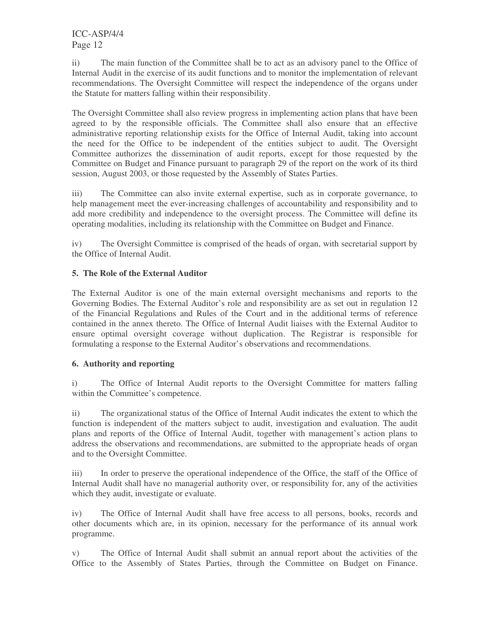ii) The main function of the Committee shall be to act as an advisory panel to the Office of Internal Audit in the exercise of its audit functions and to monitor the implementation of relevant recommendations. The Oversight Committee will respect the independence of the organs under the Statute for matters falling within their responsibility.

The Oversight Committee shall also review progress in implementing action plans that have been agreed to by the responsible officials. The Committee shall also ensure that an effective administrative reporting relationship exists for the Office of Internal Audit, taking into account the need for the Office to be independent of the entities subject to audit. The Oversight Committee authorizes the dissemination of audit reports, except for those requested by the Committee on Budget and Finance pursuant to paragraph 29 of the report on the work of its third session, August 2003, or those requested by the Assembly of States Parties.

iii) The Committee can also invite external expertise, such as in corporate governance, to help management meet the ever-increasing challenges of accountability and responsibility and to add more credibility and independence to the oversight process. The Committee will define its operating modalities, including its relationship with the Committee on Budget and Finance.

iv) The Oversight Committee is comprised of the heads of organ, with secretarial support by the Office of Internal Audit.

## **5. The Role of the External Auditor**

The External Auditor is one of the main external oversight mechanisms and reports to the Governing Bodies. The External Auditor's role and responsibility are as set out in regulation 12 of the Financial Regulations and Rules of the Court and in the additional terms of reference contained in the annex thereto. The Office of Internal Audit liaises with the External Auditor to ensure optimal oversight coverage without duplication. The Registrar is responsible for formulating a response to the External Auditor's observations and recommendations.

## **6. Authority and reporting**

i) The Office of Internal Audit reports to the Oversight Committee for matters falling within the Committee's competence.

ii) The organizational status of the Office of Internal Audit indicates the extent to which the function is independent of the matters subject to audit, investigation and evaluation. The audit plans and reports of the Office of Internal Audit, together with management's action plans to address the observations and recommendations, are submitted to the appropriate heads of organ and to the Oversight Committee.

iii) In order to preserve the operational independence of the Office, the staff of the Office of Internal Audit shall have no managerial authority over, or responsibility for, any of the activities which they audit, investigate or evaluate.

iv) The Office of Internal Audit shall have free access to all persons, books, records and other documents which are, in its opinion, necessary for the performance of its annual work programme.

v) The Office of Internal Audit shall submit an annual report about the activities of the Office to the Assembly of States Parties, through the Committee on Budget on Finance.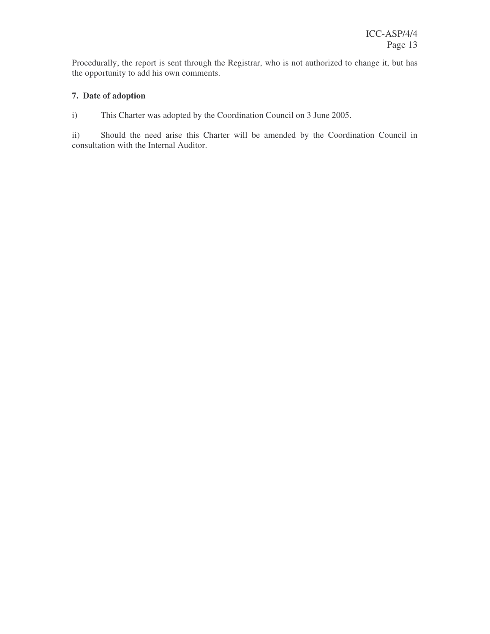Procedurally, the report is sent through the Registrar, who is not authorized to change it, but has the opportunity to add his own comments.

## **7. Date of adoption**

i) This Charter was adopted by the Coordination Council on 3 June 2005.

ii) Should the need arise this Charter will be amended by the Coordination Council in consultation with the Internal Auditor.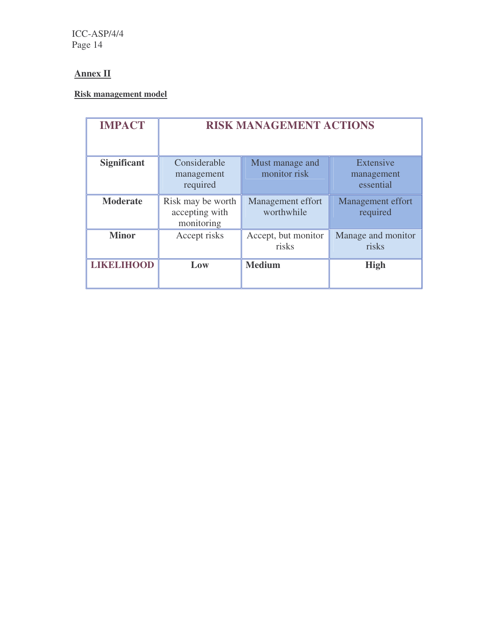# **Annex II**

## **Risk management model**

| <b>IMPACT</b>      | <b>RISK MANAGEMENT ACTIONS</b>                    |                                 |                                      |  |
|--------------------|---------------------------------------------------|---------------------------------|--------------------------------------|--|
| <b>Significant</b> | Considerable<br>management<br>required            | Must manage and<br>monitor risk | Extensive<br>management<br>essential |  |
| <b>Moderate</b>    | Risk may be worth<br>accepting with<br>monitoring | Management effort<br>worthwhile | <b>Management effort</b><br>required |  |
| <b>Minor</b>       | Accept risks                                      | Accept, but monitor<br>risks    | Manage and monitor<br>risks          |  |
| <b>LIKELIHOOD</b>  | Low                                               | <b>Medium</b>                   | <b>High</b>                          |  |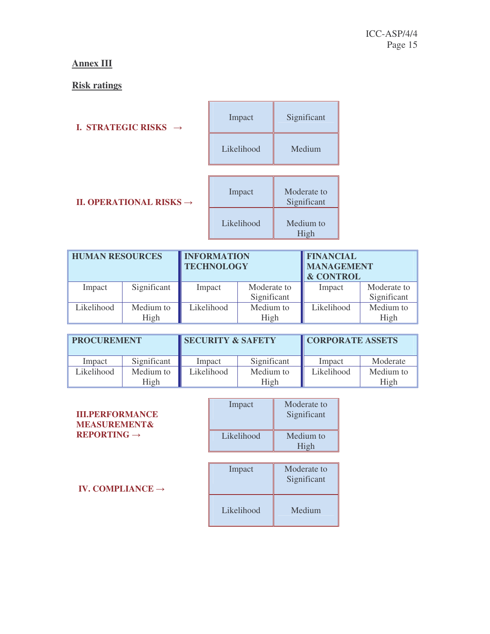# **Annex III**

# **Risk ratings**

| <b>I. STRATEGIC RISKS</b><br>$\rightarrow$ | Impact     | Significant       |
|--------------------------------------------|------------|-------------------|
|                                            | Likelihood | Medium            |
|                                            | Impact     | Moderate to       |
| <b>II. OPERATIONAL RISKS</b> $\rightarrow$ |            | Significant       |
|                                            | Likelihood | Medium to<br>High |

| <b>HUMAN RESOURCES</b> |                   | <b>INFORMATION</b><br><b>TECHNOLOGY</b> |                            | <b>FINANCIAL</b><br><b>MANAGEMENT</b><br><b>&amp; CONTROL</b> |                            |
|------------------------|-------------------|-----------------------------------------|----------------------------|---------------------------------------------------------------|----------------------------|
| Impact                 | Significant       | Impact                                  | Moderate to<br>Significant | Impact                                                        | Moderate to<br>Significant |
| Likelihood             | Medium to<br>High | Likelihood                              | Medium to<br>High          | Likelihood                                                    | Medium to<br>High          |

| <b>PROCUREMENT</b> |                   | <b>SECURITY &amp; SAFETY</b> |                   | <b>CORPORATE ASSETS</b> |                   |
|--------------------|-------------------|------------------------------|-------------------|-------------------------|-------------------|
| Impact             | Significant       | Impact                       | Significant       | Impact                  | Moderate          |
| Likelihood         | Medium to<br>High | Likelihood                   | Medium to<br>High | Likelihood              | Medium to<br>High |

| <b>III.PERFORMANCE</b>         |  |
|--------------------------------|--|
| <b>MEASUREMENT&amp;</b>        |  |
| <b>REPORTING</b> $\rightarrow$ |  |

| <b>III.PERFORMANCE</b><br><b>MEASUREMENT&amp;</b> | Impact     | Moderate to<br>Significant |
|---------------------------------------------------|------------|----------------------------|
| $REPORTING \rightarrow$                           | Likelihood | Medium to<br>High          |

| Impact     | Moderate to<br>Significant |
|------------|----------------------------|
| Likelihood | Medium                     |

**IV. COMPLIANCE**  $\rightarrow$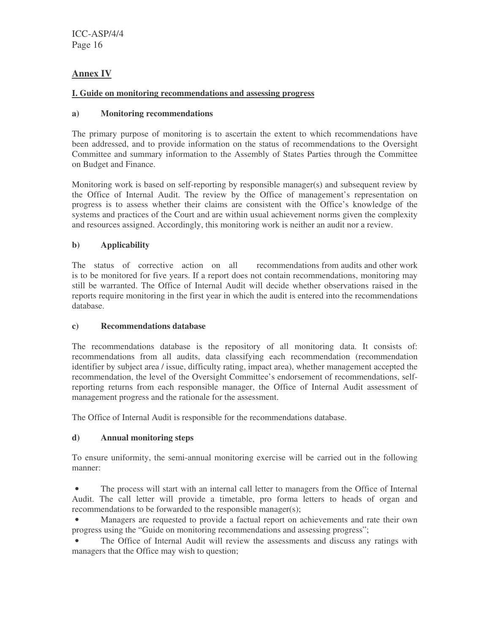## **Annex IV**

## **I. Guide on monitoring recommendations and assessing progress**

## **a) Monitoring recommendations**

The primary purpose of monitoring is to ascertain the extent to which recommendations have been addressed, and to provide information on the status of recommendations to the Oversight Committee and summary information to the Assembly of States Parties through the Committee on Budget and Finance.

Monitoring work is based on self-reporting by responsible manager(s) and subsequent review by the Office of Internal Audit. The review by the Office of management's representation on progress is to assess whether their claims are consistent with the Office's knowledge of the systems and practices of the Court and are within usual achievement norms given the complexity and resources assigned. Accordingly, this monitoring work is neither an audit nor a review.

## **b) Applicability**

The status of corrective action on all recommendations from audits and other work is to be monitored for five years. If a report does not contain recommendations, monitoring may still be warranted. The Office of Internal Audit will decide whether observations raised in the reports require monitoring in the first year in which the audit is entered into the recommendations database.

## **c) Recommendations database**

The recommendations database is the repository of all monitoring data. It consists of: recommendations from all audits, data classifying each recommendation (recommendation identifier by subject area / issue, difficulty rating, impact area), whether management accepted the recommendation, the level of the Oversight Committee's endorsement of recommendations, selfreporting returns from each responsible manager, the Office of Internal Audit assessment of management progress and the rationale for the assessment.

The Office of Internal Audit is responsible for the recommendations database.

## **d) Annual monitoring steps**

To ensure uniformity, the semi-annual monitoring exercise will be carried out in the following manner:

• The process will start with an internal call letter to managers from the Office of Internal Audit. The call letter will provide a timetable, pro forma letters to heads of organ and recommendations to be forwarded to the responsible manager(s);

Managers are requested to provide a factual report on achievements and rate their own progress using the "Guide on monitoring recommendations and assessing progress";

The Office of Internal Audit will review the assessments and discuss any ratings with managers that the Office may wish to question;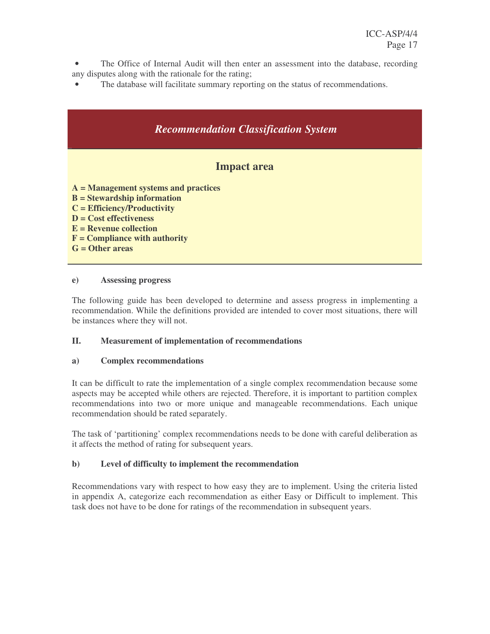- The Office of Internal Audit will then enter an assessment into the database, recording any disputes along with the rationale for the rating;
- The database will facilitate summary reporting on the status of recommendations.



#### **e) Assessing progress**

The following guide has been developed to determine and assess progress in implementing a recommendation. While the definitions provided are intended to cover most situations, there will be instances where they will not.

## **II. Measurement of implementation of recommendations**

#### **a) Complex recommendations**

It can be difficult to rate the implementation of a single complex recommendation because some aspects may be accepted while others are rejected. Therefore, it is important to partition complex recommendations into two or more unique and manageable recommendations. Each unique recommendation should be rated separately.

The task of 'partitioning' complex recommendations needs to be done with careful deliberation as it affects the method of rating for subsequent years.

## **b) Level of difficulty to implement the recommendation**

Recommendations vary with respect to how easy they are to implement. Using the criteria listed in appendix A, categorize each recommendation as either Easy or Difficult to implement. This task does not have to be done for ratings of the recommendation in subsequent years.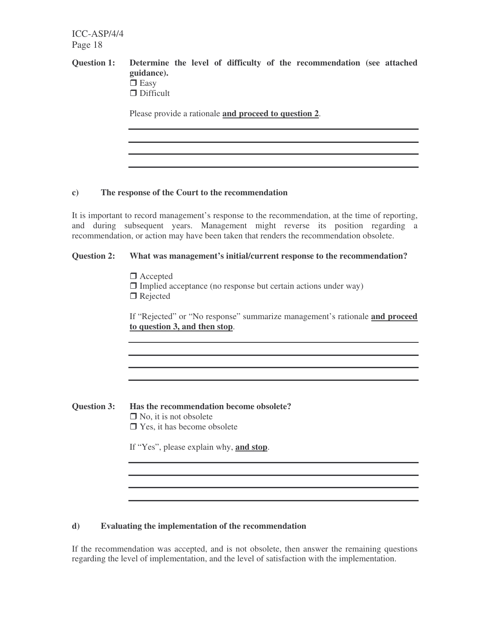# **Question 1: Determine the level of difficulty of the recommendation (see attached guidance).**  $\bar{\Box}$  Easy □ Difficult

Please provide a rationale **and proceed to question 2**.

## **c) The response of the Court to the recommendation**

It is important to record management's response to the recommendation, at the time of reporting, and during subsequent years. Management might reverse its position regarding a recommendation, or action may have been taken that renders the recommendation obsolete.

## **Question 2: What was management's initial/current response to the recommendation?**

□ Accepted

 $\Box$  Implied acceptance (no response but certain actions under way)  $\Box$  Rejected

If "Rejected" or "No response" summarize management's rationale **and proceed to question 3, and then stop**.

**Question 3: Has the recommendation become obsolete?**  $\Box$  No, it is not obsolete  $\Box$  Yes, it has become obsolete

If "Yes", please explain why, **and stop**.

## **d) Evaluating the implementation of the recommendation**

If the recommendation was accepted, and is not obsolete, then answer the remaining questions regarding the level of implementation, and the level of satisfaction with the implementation.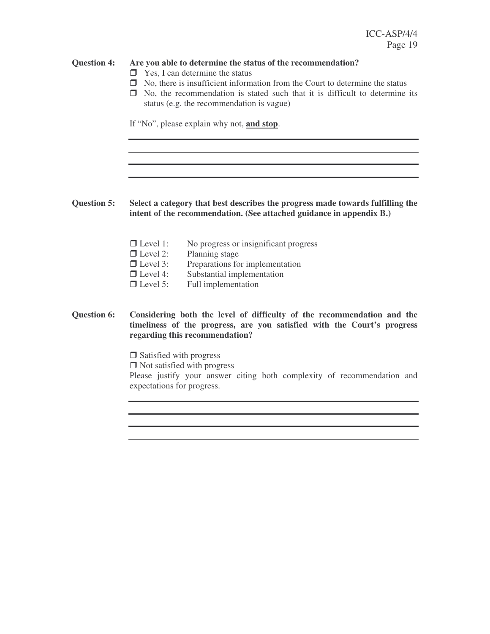#### **Question 4: Are you able to determine the status of the recommendation?**

- $\Box$  Yes, I can determine the status
- □ No, there is insufficient information from the Court to determine the status
- No, the recommendation is stated such that it is difficult to determine its status (e.g. the recommendation is vague)

If "No", please explain why not, **and stop**.

## **Question 5: Select a category that best describes the progress made towards fulfilling the intent of the recommendation. (See attached guidance in appendix B.)**

- $\Box$  Level 1: No progress or insignificant progress
- $\Box$  Level 2: Planning stage
- $\Box$  Level 3: Preparations for implementation
- $\Box$  Level 4: Substantial implementation
- $\Box$  Level 5: Full implementation

#### **Question 6: Considering both the level of difficulty of the recommendation and the timeliness of the progress, are you satisfied with the Court's progress regarding this recommendation?**

□ Satisfied with progress

□ Not satisfied with progress

Please justify your answer citing both complexity of recommendation and expectations for progress.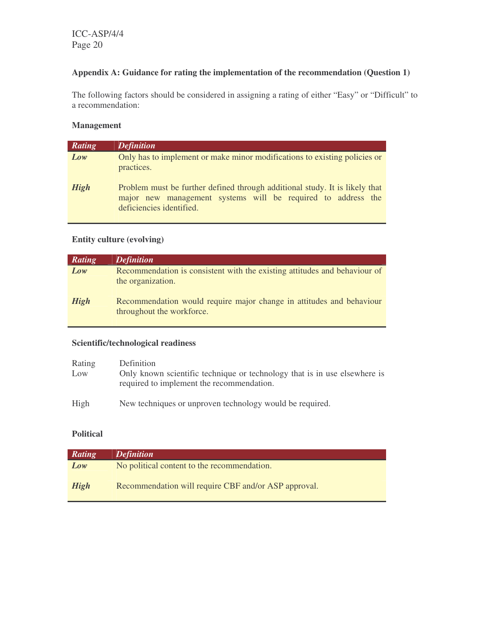## **Appendix A: Guidance for rating the implementation of the recommendation (Question 1)**

The following factors should be considered in assigning a rating of either "Easy" or "Difficult" to a recommendation:

## **Management**

| Rating      | <b>Definition</b>                                                                                                                                                       |
|-------------|-------------------------------------------------------------------------------------------------------------------------------------------------------------------------|
| Low         | Only has to implement or make minor modifications to existing policies or<br>practices.                                                                                 |
| <b>High</b> | Problem must be further defined through additional study. It is likely that<br>major new management systems will be required to address the<br>deficiencies identified. |

## **Entity culture (evolving)**

| Rating      | <b>Definition</b>                                                                                 |
|-------------|---------------------------------------------------------------------------------------------------|
| Low         | Recommendation is consistent with the existing attitudes and behaviour of<br>the organization.    |
| <b>High</b> | Recommendation would require major change in attitudes and behaviour<br>throughout the workforce. |

## **Scientific/technological readiness**

| Rating<br>Low | Definition<br>Only known scientific technique or technology that is in use elsewhere is<br>required to implement the recommendation. |
|---------------|--------------------------------------------------------------------------------------------------------------------------------------|
| High          | New techniques or unproven technology would be required.                                                                             |

## **Political**

| Rating      | <b>Definition</b>                                    |
|-------------|------------------------------------------------------|
| Low         | No political content to the recommendation.          |
| <b>High</b> | Recommendation will require CBF and/or ASP approval. |